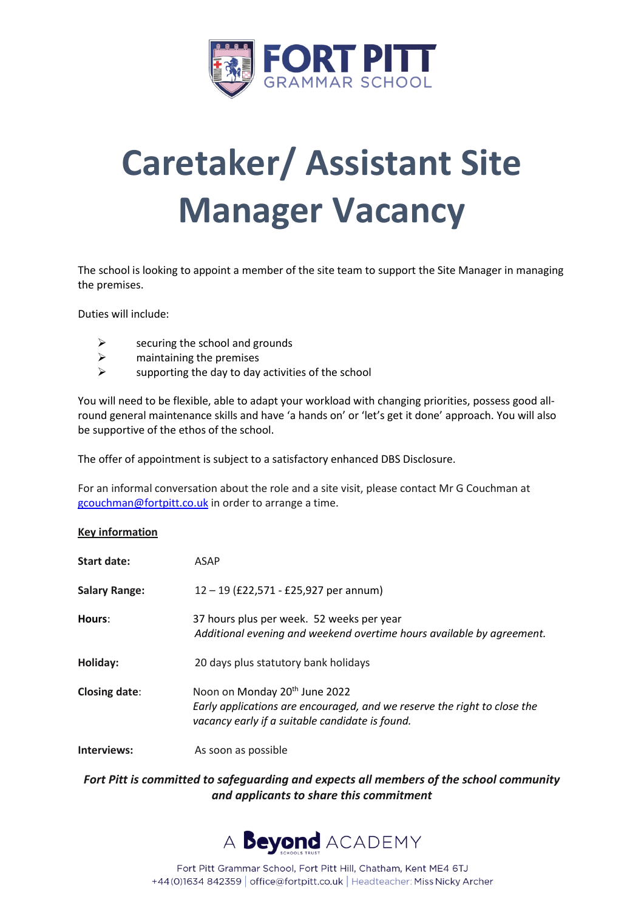

# **Caretaker/ Assistant Site Manager Vacancy**

The school is looking to appoint a member of the site team to support the Site Manager in managing the premises.

Duties will include:

- $\triangleright$  securing the school and grounds
- $\triangleright$  maintaining the premises
- $\triangleright$  supporting the day to day activities of the school

You will need to be flexible, able to adapt your workload with changing priorities, possess good allround general maintenance skills and have 'a hands on' or 'let's get it done' approach. You will also be supportive of the ethos of the school.

The offer of appointment is subject to a satisfactory enhanced DBS Disclosure.

For an informal conversation about the role and a site visit, please contact Mr G Couchman at [gcouchman@fortpitt.co.uk](mailto:gcouchman@fortpitt.co.uk) in order to arrange a time.

#### **Key information**

| <b>Start date:</b>   | ASAP                                                                                                                                                                     |
|----------------------|--------------------------------------------------------------------------------------------------------------------------------------------------------------------------|
| <b>Salary Range:</b> | $12 - 19$ (£22,571 - £25,927 per annum)                                                                                                                                  |
| Hours:               | 37 hours plus per week. 52 weeks per year<br>Additional evening and weekend overtime hours available by agreement.                                                       |
| Holiday:             | 20 days plus statutory bank holidays                                                                                                                                     |
| <b>Closing date:</b> | Noon on Monday 20 <sup>th</sup> June 2022<br>Early applications are encouraged, and we reserve the right to close the<br>vacancy early if a suitable candidate is found. |
| Interviews:          | As soon as possible                                                                                                                                                      |

# *Fort Pitt is committed to safeguarding and expects all members of the school community and applicants to share this commitment*

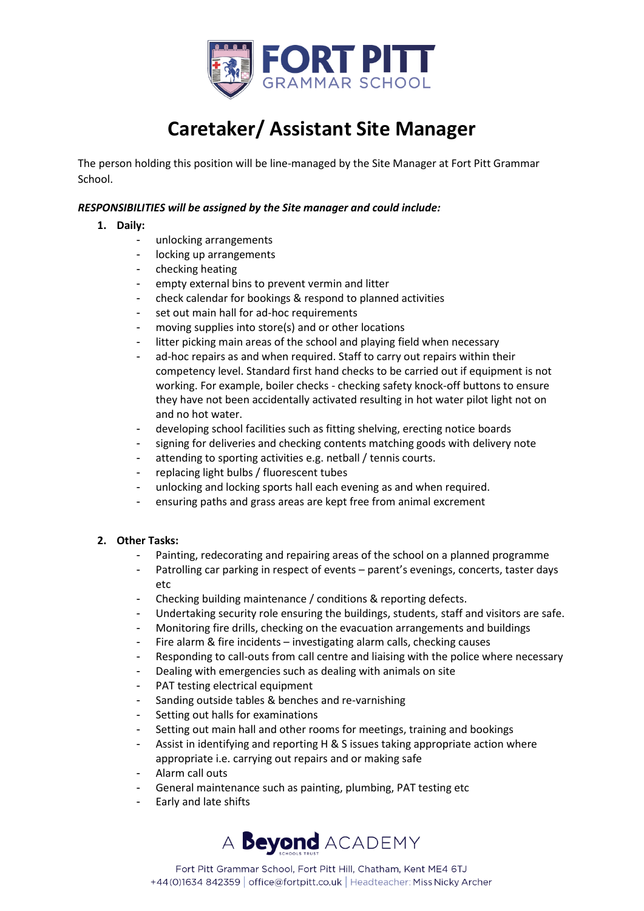

# **Caretaker/ Assistant Site Manager**

The person holding this position will be line-managed by the Site Manager at Fort Pitt Grammar School.

### *RESPONSIBILITIES will be assigned by the Site manager and could include:*

## **1. Daily:**

- unlocking arrangements
- locking up arrangements
- checking heating
- empty external bins to prevent vermin and litter
- check calendar for bookings & respond to planned activities
- set out main hall for ad-hoc requirements
- moving supplies into store(s) and or other locations
- litter picking main areas of the school and playing field when necessary
- ad-hoc repairs as and when required. Staff to carry out repairs within their competency level. Standard first hand checks to be carried out if equipment is not working. For example, boiler checks - checking safety knock-off buttons to ensure they have not been accidentally activated resulting in hot water pilot light not on and no hot water.
- developing school facilities such as fitting shelving, erecting notice boards
- signing for deliveries and checking contents matching goods with delivery note
- attending to sporting activities e.g. netball / tennis courts.
- replacing light bulbs / fluorescent tubes
- unlocking and locking sports hall each evening as and when required.
- ensuring paths and grass areas are kept free from animal excrement

#### **2. Other Tasks:**

- Painting, redecorating and repairing areas of the school on a planned programme
- Patrolling car parking in respect of events parent's evenings, concerts, taster days etc
- Checking building maintenance / conditions & reporting defects.
- Undertaking security role ensuring the buildings, students, staff and visitors are safe.
- Monitoring fire drills, checking on the evacuation arrangements and buildings
- Fire alarm & fire incidents investigating alarm calls, checking causes
- Responding to call-outs from call centre and liaising with the police where necessary
- Dealing with emergencies such as dealing with animals on site
- PAT testing electrical equipment
- Sanding outside tables & benches and re-varnishing
- Setting out halls for examinations
- Setting out main hall and other rooms for meetings, training and bookings
- Assist in identifying and reporting H & S issues taking appropriate action where appropriate i.e. carrying out repairs and or making safe
- Alarm call outs
- General maintenance such as painting, plumbing, PAT testing etc
- Early and late shifts



Fort Pitt Grammar School, Fort Pitt Hill, Chatham, Kent ME4 6TJ +44(0)1634 842359 | office@fortpitt.co.uk | Headteacher: Miss Nicky Archer